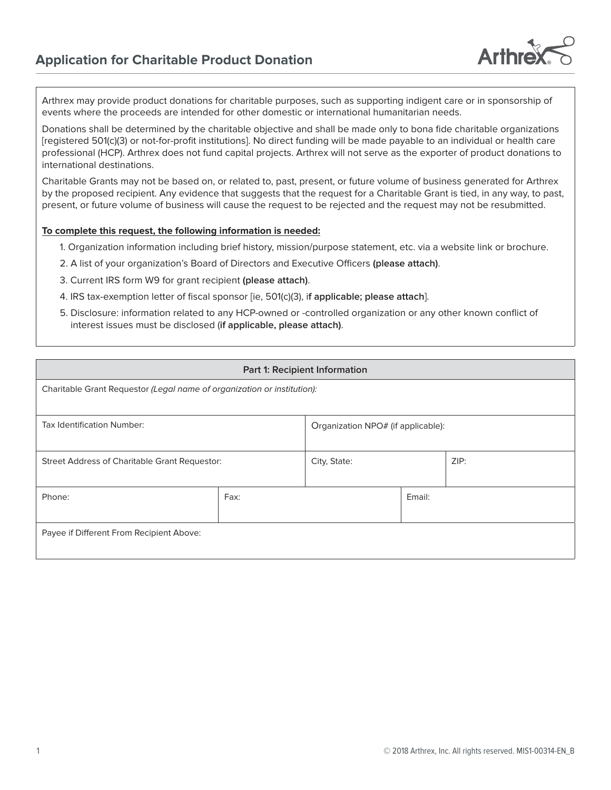Arthrex may provide product donations for charitable purposes, such as supporting indigent care or in sponsorship of events where the proceeds are intended for other domestic or international humanitarian needs.

Donations shall be determined by the charitable objective and shall be made only to bona fide charitable organizations [registered 501(c)(3) or not-for-profit institutions]. No direct funding will be made payable to an individual or health care professional (HCP). Arthrex does not fund capital projects. Arthrex will not serve as the exporter of product donations to international destinations.

Charitable Grants may not be based on, or related to, past, present, or future volume of business generated for Arthrex by the proposed recipient. Any evidence that suggests that the request for a Charitable Grant is tied, in any way, to past, present, or future volume of business will cause the request to be rejected and the request may not be resubmitted.

## **To complete this request, the following information is needed:**

1. Organization information including brief history, mission/purpose statement, etc. via a website link or brochure.

- 2. A list of your organization's Board of Directors and Executive Officers **(please attach)**.
- 3. Current IRS form W9 for grant recipient **(please attach)**.
- 4. IRS tax-exemption letter of fiscal sponsor [ie, 501(c)(3), i**f applicable; please attach**].
- 5. Disclosure: information related to any HCP-owned or -controlled organization or any other known conflict of interest issues must be disclosed (**if applicable, please attach)**.

| Part 1: Recipient Information                                           |      |                                    |        |      |  |
|-------------------------------------------------------------------------|------|------------------------------------|--------|------|--|
| Charitable Grant Requestor (Legal name of organization or institution): |      |                                    |        |      |  |
| Tax Identification Number:                                              |      | Organization NPO# (if applicable): |        |      |  |
| Street Address of Charitable Grant Requestor:                           |      | City, State:                       |        | ZIP: |  |
| Phone:                                                                  | Fax: |                                    | Email: |      |  |
| Payee if Different From Recipient Above:                                |      |                                    |        |      |  |

**Arthre**